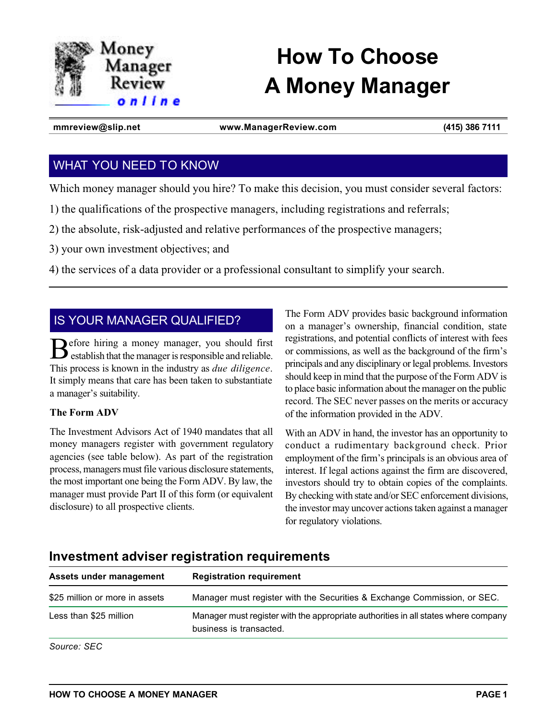

# **How To Choose A Money Manager**

**mmreview@slip.net www.ManagerReview.com (415) 386 7111**

# WHAT YOU NEED TO KNOW

Which money manager should you hire? To make this decision, you must consider several factors:

1) the qualifications of the prospective managers, including registrations and referrals;

2) the absolute, risk-adjusted and relative performances of the prospective managers;

3) your own investment objectives; and

4) the services of a data provider or a professional consultant to simplify your search.

# IS YOUR MANAGER QUALIFIED?

Before hiring a money manager, you should first establish that the manager is responsible and reliable. This process is known in the industry as *due diligence*. It simply means that care has been taken to substantiate a manager's suitability.

## **The Form ADV**

The Investment Advisors Act of 1940 mandates that all money managers register with government regulatory agencies (see table below). As part of the registration process, managers must file various disclosure statements, the most important one being the Form ADV. By law, the manager must provide Part II of this form (or equivalent disclosure) to all prospective clients.

The Form ADV provides basic background information on a manager's ownership, financial condition, state registrations, and potential conflicts of interest with fees or commissions, as well as the background of the firm's principals and any disciplinary or legal problems. Investors should keep in mind that the purpose of the Form ADV is to place basic information about the manager on the public record. The SEC never passes on the merits or accuracy of the information provided in the ADV.

With an ADV in hand, the investor has an opportunity to conduct a rudimentary background check. Prior employment of the firm's principals is an obvious area of interest. If legal actions against the firm are discovered, investors should try to obtain copies of the complaints. By checking with state and/or SEC enforcement divisions, the investor may uncover actions taken against a manager for regulatory violations.

| Assets under management        | <b>Registration requirement</b>                                                                               |
|--------------------------------|---------------------------------------------------------------------------------------------------------------|
| \$25 million or more in assets | Manager must register with the Securities & Exchange Commission, or SEC.                                      |
| Less than \$25 million         | Manager must register with the appropriate authorities in all states where company<br>business is transacted. |
| Source: SEC                    |                                                                                                               |

# **Investment adviser registration requirements**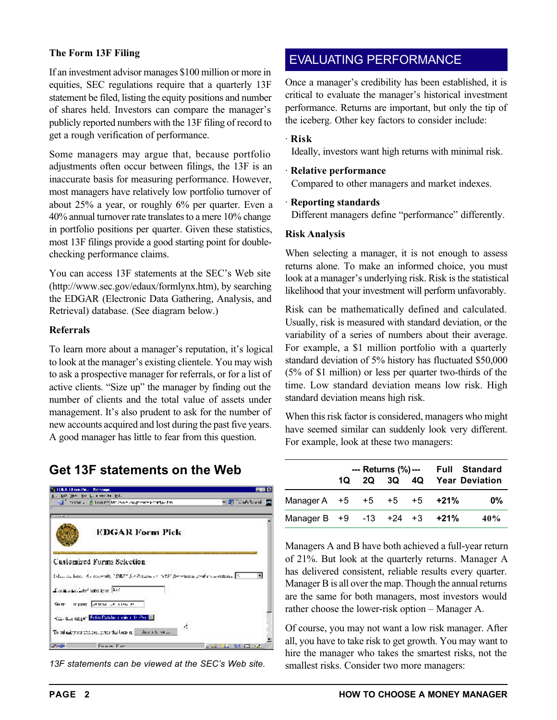## **The Form 13F Filing**

If an investment advisor manages \$100 million or more in equities, SEC regulations require that a quarterly 13F statement be filed, listing the equity positions and number of shares held. Investors can compare the manager's publicly reported numbers with the 13F filing of record to get a rough verification of performance.

Some managers may argue that, because portfolio adjustments often occur between filings, the 13F is an inaccurate basis for measuring performance. However, most managers have relatively low portfolio turnover of about 25% a year, or roughly 6% per quarter. Even a 40% annual turnover rate translates to a mere 10% change in portfolio positions per quarter. Given these statistics, most 13F filings provide a good starting point for doublechecking performance claims.

You can access 13F statements at the SEC's Web site (http://www.sec.gov/edaux/formlynx.htm), by searching the EDGAR (Electronic Data Gathering, Analysis, and Retrieval) database. (See diagram below.)

## **Referrals**

To learn more about a manager's reputation, it's logical to look at the manager's existing clientele. You may wish to ask a prospective manager for referrals, or for a list of active clients. "Size up" the manager by finding out the number of clients and the total value of assets under management. It's also prudent to ask for the number of new accounts acquired and lost during the past five years. A good manager has little to fear from this question.

# **Get 13F statements on the Web**



*13F statements can be viewed at the SEC's Web site.*

# EVALUATING PERFORMANCE

Once a manager's credibility has been established, it is critical to evaluate the manager's historical investment performance. Returns are important, but only the tip of the iceberg. Other key factors to consider include:

#### · **Risk**

Ideally, investors want high returns with minimal risk.

#### · **Relative performance**

Compared to other managers and market indexes.

#### · **Reporting standards**

Different managers define "performance" differently.

#### **Risk Analysis**

When selecting a manager, it is not enough to assess returns alone. To make an informed choice, you must look at a manager's underlying risk. Risk is the statistical likelihood that your investment will perform unfavorably.

Risk can be mathematically defined and calculated. Usually, risk is measured with standard deviation, or the variability of a series of numbers about their average. For example, a \$1 million portfolio with a quarterly standard deviation of 5% history has fluctuated \$50,000 (5% of \$1 million) or less per quarter two-thirds of the time. Low standard deviation means low risk. High standard deviation means high risk.

When this risk factor is considered, managers who might have seemed similar can suddenly look very different. For example, look at these two managers:

|                              | --- Returns (%) --- Full Standard |  |  |  |                            |       |
|------------------------------|-----------------------------------|--|--|--|----------------------------|-------|
|                              |                                   |  |  |  | 1Q 2Q 3Q 4Q Year Deviation |       |
| Manager A +5 +5 +5 +5 +21%   |                                   |  |  |  |                            | $0\%$ |
| Manager B +9 -13 +24 +3 +21% |                                   |  |  |  |                            | 40%   |

Managers A and B have both achieved a full-year return of 21%. But look at the quarterly returns. Manager A has delivered consistent, reliable results every quarter. Manager B is all over the map. Though the annual returns are the same for both managers, most investors would rather choose the lower-risk option – Manager A.

Of course, you may not want a low risk manager. After all, you have to take risk to get growth. You may want to hire the manager who takes the smartest risks, not the smallest risks. Consider two more managers: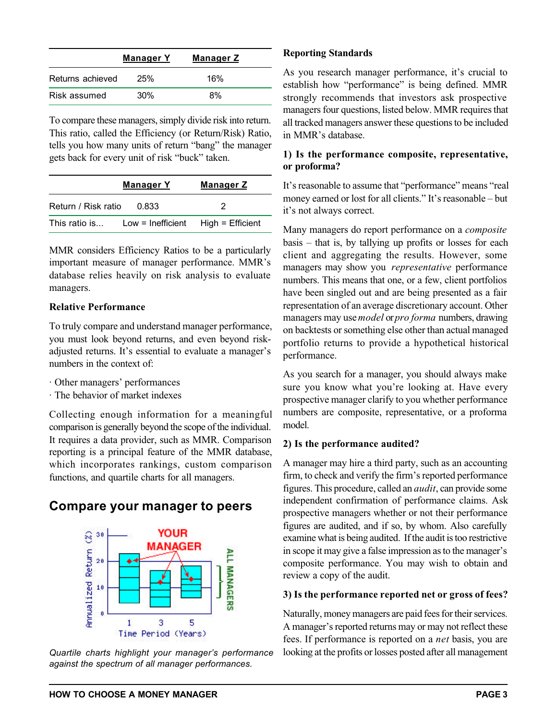|                  | Manager Y | <u>Manager Z</u> |  |
|------------------|-----------|------------------|--|
| Returns achieved | 25%       | 16%              |  |
| Risk assumed     | 30%       | 8%               |  |

To compare these managers, simply divide risk into return. This ratio, called the Efficiency (or Return/Risk) Ratio, tells you how many units of return "bang" the manager gets back for every unit of risk "buck" taken.

|                     | <b>Manager Y</b>                     | <u>Manager Z</u> |
|---------------------|--------------------------------------|------------------|
| Return / Risk ratio | 0.833                                | 2                |
| This ratio is       | $Low = Inefficient$ High = Efficient |                  |

MMR considers Efficiency Ratios to be a particularly important measure of manager performance. MMR's database relies heavily on risk analysis to evaluate managers.

## **Relative Performance**

To truly compare and understand manager performance, you must look beyond returns, and even beyond riskadjusted returns. It's essential to evaluate a manager's numbers in the context of:

- · Other managers' performances
- · The behavior of market indexes

Collecting enough information for a meaningful comparison is generally beyond the scope of the individual. It requires a data provider, such as MMR. Comparison reporting is a principal feature of the MMR database, which incorporates rankings, custom comparison functions, and quartile charts for all managers.

# **Compare your manager to peers**



*Quartile charts highlight your manager's performance against the spectrum of all manager performances.*

## **Reporting Standards**

As you research manager performance, it's crucial to establish how "performance" is being defined. MMR strongly recommends that investors ask prospective managers four questions, listed below. MMR requires that all tracked managers answer these questions to be included in MMR's database.

## **1) Is the performance composite, representative, or proforma?**

It's reasonable to assume that "performance" means "real money earned or lost for all clients." It's reasonable – but it's not always correct.

Many managers do report performance on a *composite* basis – that is, by tallying up profits or losses for each client and aggregating the results. However, some managers may show you *representative* performance numbers. This means that one, or a few, client portfolios have been singled out and are being presented as a fair representation of an average discretionary account. Other managers may use *model* or *pro forma* numbers, drawing on backtests or something else other than actual managed portfolio returns to provide a hypothetical historical performance.

As you search for a manager, you should always make sure you know what you're looking at. Have every prospective manager clarify to you whether performance numbers are composite, representative, or a proforma model.

## **2) Is the performance audited?**

A manager may hire a third party, such as an accounting firm, to check and verify the firm's reported performance figures. This procedure, called an *audit*, can provide some independent confirmation of performance claims. Ask prospective managers whether or not their performance figures are audited, and if so, by whom. Also carefully examine what is being audited. If the audit is too restrictive in scope it may give a false impression as to the manager's composite performance. You may wish to obtain and review a copy of the audit.

## **3) Is the performance reported net or gross of fees?**

Naturally, money managers are paid fees for their services. A manager's reported returns may or may not reflect these fees. If performance is reported on a *net* basis, you are looking at the profits or losses posted after all management